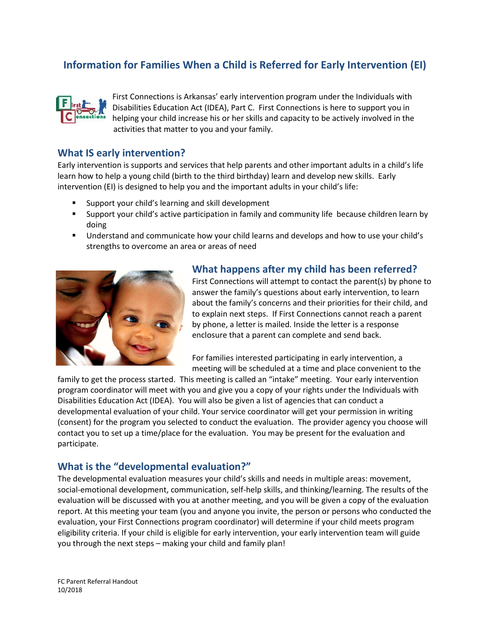# **Information for Families When a Child is Referred for Early Intervention (EI)**



First Connections is Arkansas' early intervention program under the Individuals with Disabilities Education Act (IDEA), Part C. First Connections is here to support you in helping your child increase his or her skills and capacity to be actively involved in the activities that matter to you and your family.

### **What IS early intervention?**

Early intervention is supports and services that help parents and other important adults in a child's life learn how to help a young child (birth to the third birthday) learn and develop new skills. Early intervention (EI) is designed to help you and the important adults in your child's life:

- Support your child's learning and skill development
- **Support your child's active participation in family and community life because children learn by** doing
- Understand and communicate how your child learns and develops and how to use your child's strengths to overcome an area or areas of need



### **What happens after my child has been referred?**

First Connections will attempt to contact the parent(s) by phone to answer the family's questions about early intervention, to learn about the family's concerns and their priorities for their child, and to explain next steps. If First Connections cannot reach a parent by phone, a letter is mailed. Inside the letter is a response enclosure that a parent can complete and send back.

For families interested participating in early intervention, a meeting will be scheduled at a time and place convenient to the

family to get the process started. This meeting is called an "intake" meeting. Your early intervention program coordinator will meet with you and give you a copy of your rights under the Individuals with Disabilities Education Act (IDEA). You will also be given a list of agencies that can conduct a developmental evaluation of your child. Your service coordinator will get your permission in writing (consent) for the program you selected to conduct the evaluation. The provider agency you choose will contact you to set up a time/place for the evaluation. You may be present for the evaluation and participate.

### **What is the "developmental evaluation?"**

The developmental evaluation measures your child's skills and needs in multiple areas: movement, social-emotional development, communication, self-help skills, and thinking/learning. The results of the evaluation will be discussed with you at another meeting, and you will be given a copy of the evaluation report. At this meeting your team (you and anyone you invite, the person or persons who conducted the evaluation, your First Connections program coordinator) will determine if your child meets program eligibility criteria. If your child is eligible for early intervention, your early intervention team will guide you through the next steps – making your child and family plan!